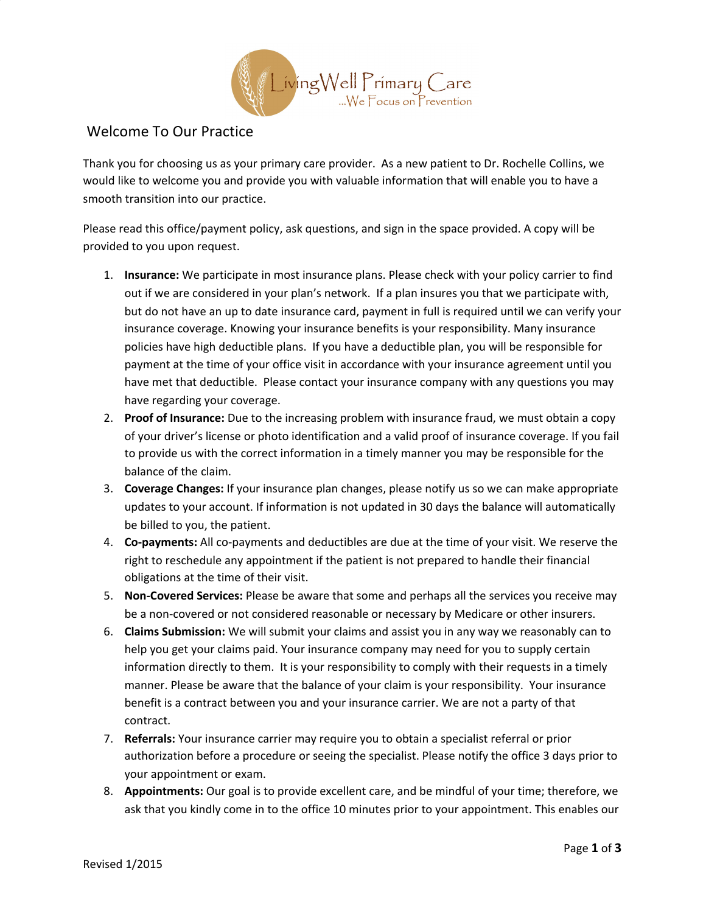

## Welcome To Our Practice

Thank you for choosing us as your primary care provider. As a new patient to Dr. Rochelle Collins, we would like to welcome you and provide you with valuable information that will enable you to have a smooth transition into our practice.

Please read this office/payment policy, ask questions, and sign in the space provided. A copy will be provided to you upon request.

- 1. **Insurance:** We participate in most insurance plans. Please check with your policy carrier to find out if we are considered in your plan's network. If a plan insures you that we participate with, but do not have an up to date insurance card, payment in full is required until we can verify your insurance coverage. Knowing your insurance benefits is your responsibility. Many insurance policies have high deductible plans. If you have a deductible plan, you will be responsible for payment at the time of your office visit in accordance with your insurance agreement until you have met that deductible. Please contact your insurance company with any questions you may have regarding your coverage.
- 2. **Proof of Insurance:** Due to the increasing problem with insurance fraud, we must obtain a copy of your driver's license or photo identification and a valid proof of insurance coverage. If you fail to provide us with the correct information in a timely manner you may be responsible for the balance of the claim.
- 3. **Coverage Changes:** If your insurance plan changes, please notify us so we can make appropriate updates to your account. If information is not updated in 30 days the balance will automatically be billed to you, the patient.
- 4. **Co-payments:** All co-payments and deductibles are due at the time of your visit. We reserve the right to reschedule any appointment if the patient is not prepared to handle their financial obligations at the time of their visit.
- 5. **Non-Covered Services:** Please be aware that some and perhaps all the services you receive may be a non-covered or not considered reasonable or necessary by Medicare or other insurers.
- 6. **Claims Submission:** We will submit your claims and assist you in any way we reasonably can to help you get your claims paid. Your insurance company may need for you to supply certain information directly to them. It is your responsibility to comply with their requests in a timely manner. Please be aware that the balance of your claim is your responsibility. Your insurance benefit is a contract between you and your insurance carrier. We are not a party of that contract.
- 7. **Referrals:** Your insurance carrier may require you to obtain a specialist referral or prior authorization before a procedure or seeing the specialist. Please notify the office 3 days prior to your appointment or exam.
- 8. **Appointments:** Our goal is to provide excellent care, and be mindful of your time; therefore, we ask that you kindly come in to the office 10 minutes prior to your appointment. This enables our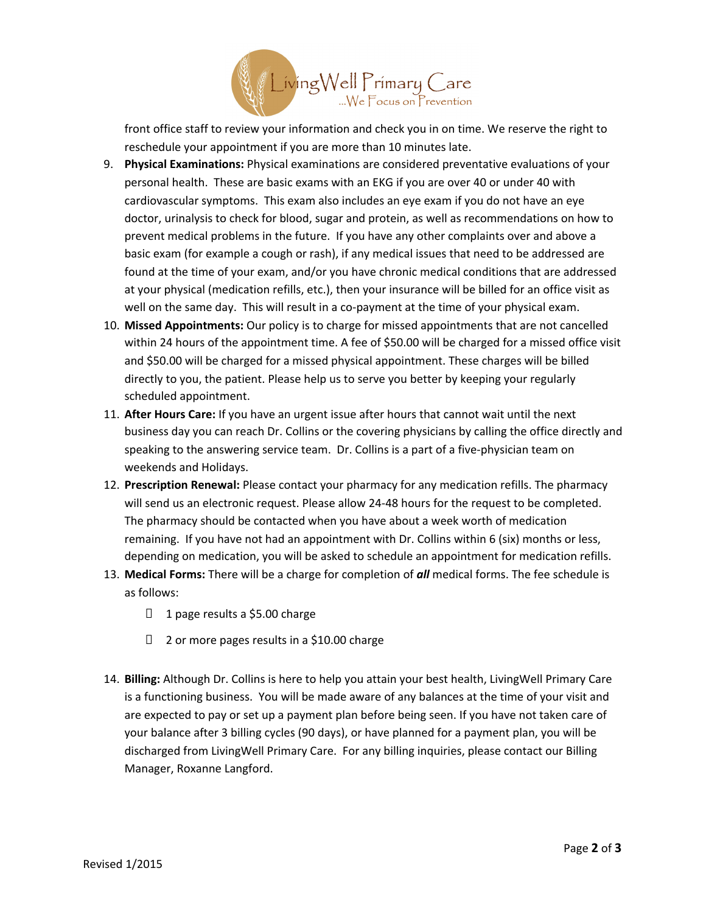

front office staff to review your information and check you in on time. We reserve the right to reschedule your appointment if you are more than 10 minutes late.

- 9. **Physical Examinations:** Physical examinations are considered preventative evaluations of your personal health. These are basic exams with an EKG if you are over 40 or under 40 with cardiovascular symptoms. This exam also includes an eye exam if you do not have an eye doctor, urinalysis to check for blood, sugar and protein, as well as recommendations on how to prevent medical problems in the future. If you have any other complaints over and above a basic exam (for example a cough or rash), if any medical issues that need to be addressed are found at the time of your exam, and/or you have chronic medical conditions that are addressed at your physical (medication refills, etc.), then your insurance will be billed for an office visit as well on the same day. This will result in a co-payment at the time of your physical exam.
- 10. **Missed Appointments:** Our policy is to charge for missed appointments that are not cancelled within 24 hours of the appointment time. A fee of \$50.00 will be charged for a missed office visit and \$50.00 will be charged for a missed physical appointment. These charges will be billed directly to you, the patient. Please help us to serve you better by keeping your regularly scheduled appointment.
- 11. **After Hours Care:** If you have an urgent issue after hours that cannot wait until the next business day you can reach Dr. Collins or the covering physicians by calling the office directly and speaking to the answering service team. Dr. Collins is a part of a five-physician team on weekends and Holidays.
- 12. **Prescription Renewal:** Please contact your pharmacy for any medication refills. The pharmacy will send us an electronic request. Please allow 24-48 hours for the request to be completed. The pharmacy should be contacted when you have about a week worth of medication remaining. If you have not had an appointment with Dr. Collins within 6 (six) months or less, depending on medication, you will be asked to schedule an appointment for medication refills.
- 13. **Medical Forms:** There will be a charge for completion of *all* medical forms. The fee schedule is as follows:
	- □ 1 page results a \$5.00 charge
	- □ 2 or more pages results in a \$10.00 charge
- 14. **Billing:** Although Dr. Collins is here to help you attain your best health, LivingWell Primary Care is a functioning business. You will be made aware of any balances at the time of your visit and are expected to pay or set up a payment plan before being seen. If you have not taken care of your balance after 3 billing cycles (90 days), or have planned for a payment plan, you will be discharged from LivingWell Primary Care. For any billing inquiries, please contact our Billing Manager, Roxanne Langford.